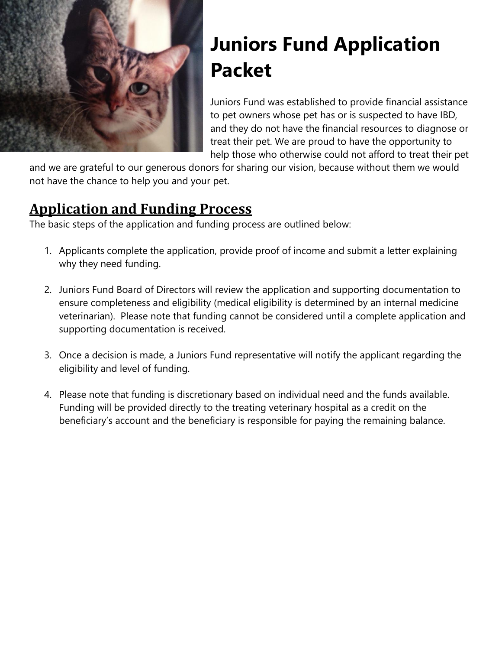

# **Juniors Fund Application Packet**

Juniors Fund was established to provide financial assistance to pet owners whose pet has or is suspected to have IBD, and they do not have the financial resources to diagnose or treat their pet. We are proud to have the opportunity to help those who otherwise could not afford to treat their pet

and we are grateful to our generous donors for sharing our vision, because without them we would not have the chance to help you and your pet.

### **Application and Funding Process**

The basic steps of the application and funding process are outlined below:

- 1. Applicants complete the application, provide proof of income and submit a letter explaining why they need funding.
- 2. Juniors Fund Board of Directors will review the application and supporting documentation to ensure completeness and eligibility (medical eligibility is determined by an internal medicine veterinarian). Please note that funding cannot be considered until a complete application and supporting documentation is received.
- 3. Once a decision is made, a Juniors Fund representative will notify the applicant regarding the eligibility and level of funding.
- 4. Please note that funding is discretionary based on individual need and the funds available. Funding will be provided directly to the treating veterinary hospital as a credit on the beneficiary's account and the beneficiary is responsible for paying the remaining balance.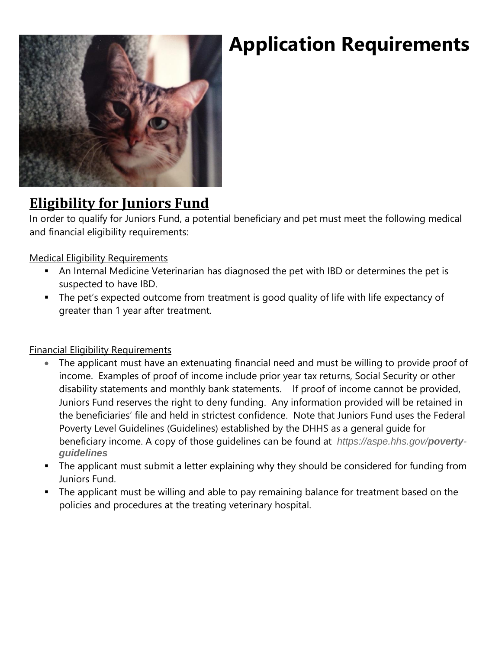### **Eligibility for Juniors Fund**

In order to qualify for Juniors Fund, a potential beneficiary and pet must meet the following medical and financial eligibility requirements:

### Medical Eligibility Requirements

- An Internal Medicine Veterinarian has diagnosed the pet with IBD or determines the pet is suspected to have IBD.
- The pet's expected outcome from treatment is good quality of life with life expectancy of greater than 1 year after treatment.

### Financial Eligibility Requirements

- The applicant must have an extenuating financial need and must be willing to provide proof of income. Examples of proof of income include prior year tax returns, Social Security or other disability statements and monthly bank statements. If proof of income cannot be provided, Juniors Fund reserves the right to deny funding. Any information provided will be retained in the beneficiaries' file and held in strictest confidence. Note that Juniors Fund uses the Federal Poverty Level Guidelines (Guidelines) established by the DHHS as a general guide for beneficiary income. A copy of those guidelines can be found at *https://aspe.hhs.gov/povertyguidelines*
- The applicant must submit a letter explaining why they should be considered for funding from Juniors Fund.
- The applicant must be willing and able to pay remaining balance for treatment based on the policies and procedures at the treating veterinary hospital.

# **Application Requirements**